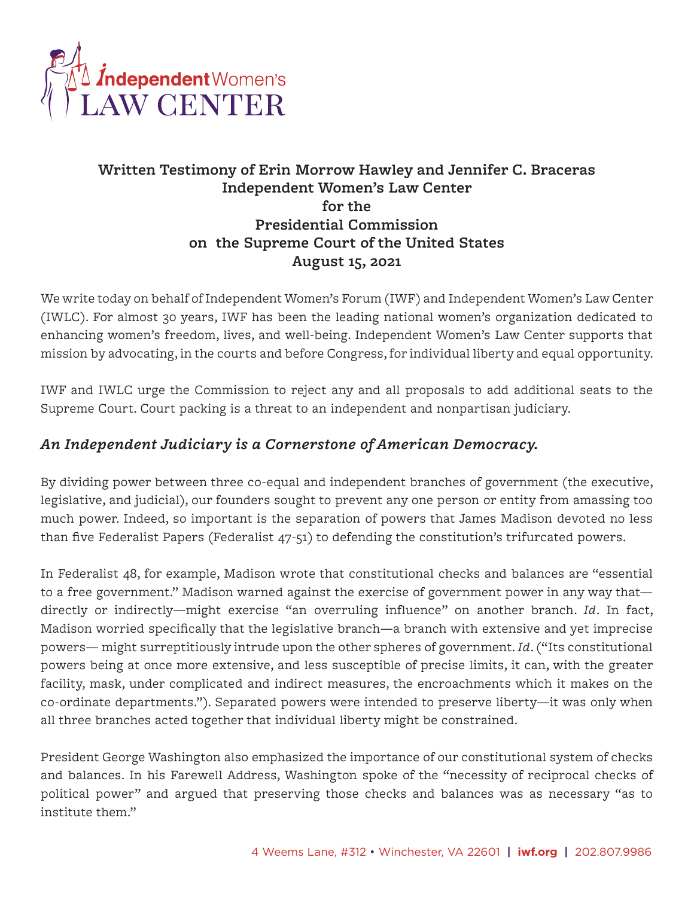

# **Written Testimony of Erin Morrow Hawley and Jennifer C. Braceras Independent Women's Law Center for the Presidential Commission on the Supreme Court of the United States August 15, 2021**

We write today on behalf of Independent Women's Forum (IWF) and Independent Women's Law Center (IWLC). For almost 30 years, IWF has been the leading national women's organization dedicated to enhancing women's freedom, lives, and well-being. Independent Women's Law Center supports that mission by advocating, in the courts and before Congress, for individual liberty and equal opportunity.

IWF and IWLC urge the Commission to reject any and all proposals to add additional seats to the Supreme Court. Court packing is a threat to an independent and nonpartisan judiciary.

#### *An Independent Judiciary is a Cornerstone of American Democracy.*

By dividing power between three co-equal and independent branches of government (the executive, legislative, and judicial), our founders sought to prevent any one person or entity from amassing too much power. Indeed, so important is the separation of powers that James Madison devoted no less than five Federalist Papers (Federalist 47-51) to defending the constitution's trifurcated powers.

In Federalist 48, for example, Madison wrote that constitutional checks and balances are "essential to a free government." Madison warned against the exercise of government power in any way that directly or indirectly—might exercise "an overruling influence" on another branch. *Id*. In fact, Madison worried specifically that the legislative branch—a branch with extensive and yet imprecise powers— might surreptitiously intrude upon the other spheres of government. *Id*. ("Its constitutional powers being at once more extensive, and less susceptible of precise limits, it can, with the greater facility, mask, under complicated and indirect measures, the encroachments which it makes on the co-ordinate departments."). Separated powers were intended to preserve liberty—it was only when all three branches acted together that individual liberty might be constrained.

President George Washington also emphasized the importance of our constitutional system of checks and balances. In his Farewell Address, Washington spoke of the "necessity of reciprocal checks of political power" and argued that preserving those checks and balances was as necessary "as to institute them."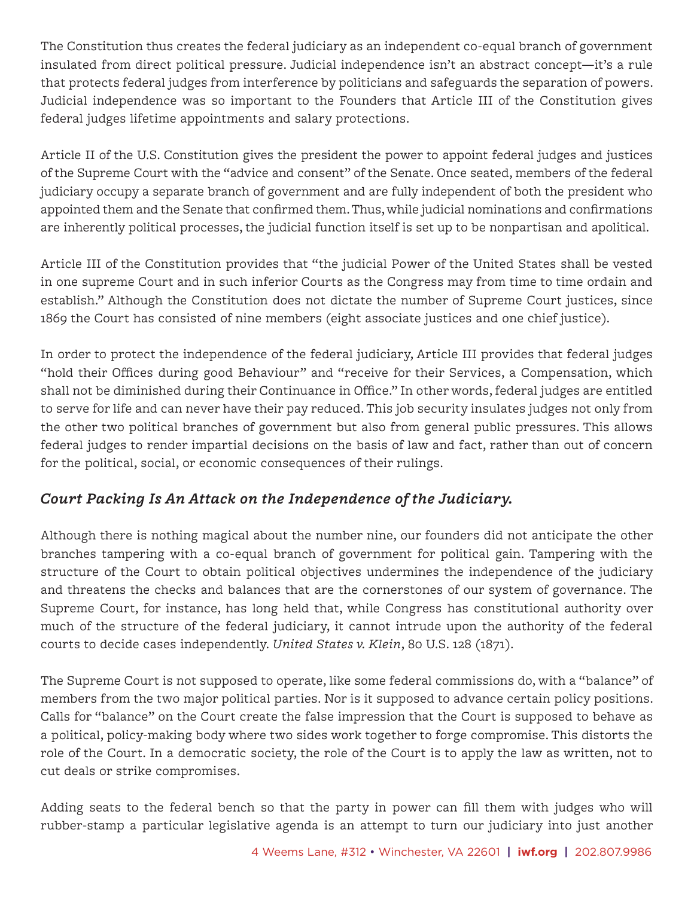The Constitution thus creates the federal judiciary as an independent co-equal branch of government insulated from direct political pressure. Judicial independence isn't an abstract concept—it's a rule that protects federal judges from interference by politicians and safeguards the separation of powers. Judicial independence was so important to the Founders that Article III of the Constitution gives federal judges lifetime appointments and salary protections.

Article II of the U.S. Constitution gives the president the power to appoint federal judges and justices of the Supreme Court with the "advice and consent" of the Senate. Once seated, members of the federal judiciary occupy a separate branch of government and are fully independent of both the president who appointed them and the Senate that confirmed them. Thus, while judicial nominations and confirmations are inherently political processes, the judicial function itself is set up to be nonpartisan and apolitical.

Article III of the Constitution provides that "the judicial Power of the United States shall be vested in one supreme Court and in such inferior Courts as the Congress may from time to time ordain and establish." Although the Constitution does not dictate the number of Supreme Court justices, since 1869 the Court has consisted of nine members (eight associate justices and one chief justice).

In order to protect the independence of the federal judiciary, Article III provides that federal judges "hold their Offices during good Behaviour" and "receive for their Services, a Compensation, which shall not be diminished during their Continuance in Office." In other words, federal judges are entitled to serve for life and can never have their pay reduced. This job security insulates judges not only from the other two political branches of government but also from general public pressures. This allows federal judges to render impartial decisions on the basis of law and fact, rather than out of concern for the political, social, or economic consequences of their rulings.

# *Court Packing Is An Attack on the Independence of the Judiciary.*

Although there is nothing magical about the number nine, our founders did not anticipate the other branches tampering with a co-equal branch of government for political gain. Tampering with the structure of the Court to obtain political objectives undermines the independence of the judiciary and threatens the checks and balances that are the cornerstones of our system of governance. The Supreme Court, for instance, has long held that, while Congress has constitutional authority over much of the structure of the federal judiciary, it cannot intrude upon the authority of the federal courts to decide cases independently. *United States v. Klein*, 80 U.S. 128 (1871).

The Supreme Court is not supposed to operate, like some federal commissions do, with a "balance" of members from the two major political parties. Nor is it supposed to advance certain policy positions. Calls for "balance" on the Court create the false impression that the Court is supposed to behave as a political, policy-making body where two sides work together to forge compromise. This distorts the role of the Court. In a democratic society, the role of the Court is to apply the law as written, not to cut deals or strike compromises.

Adding seats to the federal bench so that the party in power can fill them with judges who will rubber-stamp a particular legislative agenda is an attempt to turn our judiciary into just another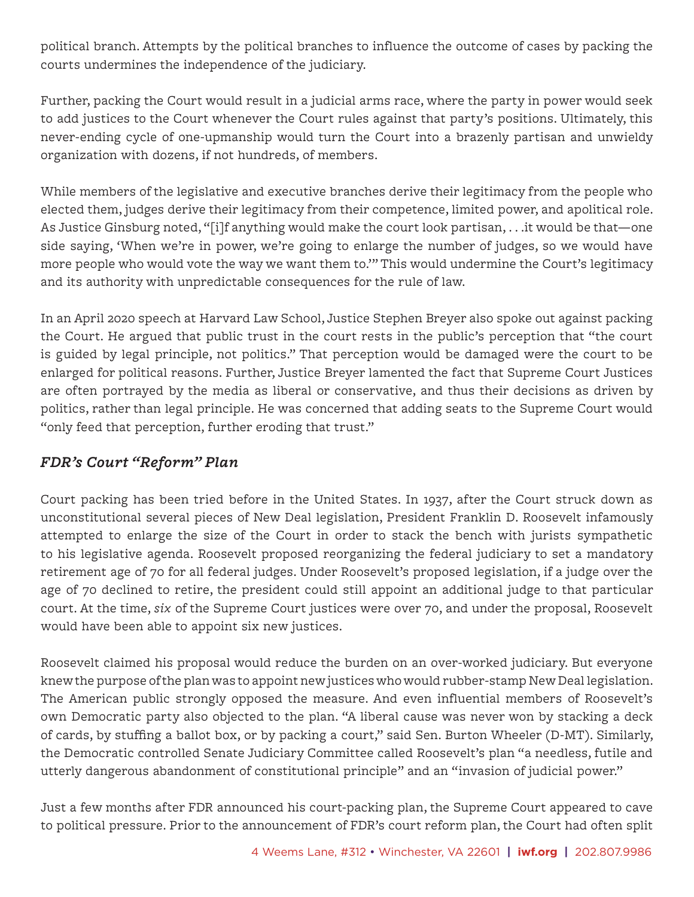political branch. Attempts by the political branches to influence the outcome of cases by packing the courts undermines the independence of the judiciary.

Further, packing the Court would result in a judicial arms race, where the party in power would seek to add justices to the Court whenever the Court rules against that party's positions. Ultimately, this never-ending cycle of one-upmanship would turn the Court into a brazenly partisan and unwieldy organization with dozens, if not hundreds, of members.

While members of the legislative and executive branches derive their legitimacy from the people who elected them, judges derive their legitimacy from their competence, limited power, and apolitical role. As Justice Ginsburg noted, "[i]f anything would make the court look partisan, . . .it would be that—one side saying, 'When we're in power, we're going to enlarge the number of judges, so we would have more people who would vote the way we want them to.'" This would undermine the Court's legitimacy and its authority with unpredictable consequences for the rule of law.

In an April 2020 speech at Harvard Law School, Justice Stephen Breyer also spoke out against packing the Court. He argued that public trust in the court rests in the public's perception that "the court is guided by legal principle, not politics." That perception would be damaged were the court to be enlarged for political reasons. Further, Justice Breyer lamented the fact that Supreme Court Justices are often portrayed by the media as liberal or conservative, and thus their decisions as driven by politics, rather than legal principle. He was concerned that adding seats to the Supreme Court would "only feed that perception, further eroding that trust."

#### *FDR's Court "Reform" Plan*

Court packing has been tried before in the United States. In 1937, after the Court struck down as unconstitutional several pieces of New Deal legislation, President Franklin D. Roosevelt infamously attempted to enlarge the size of the Court in order to stack the bench with jurists sympathetic to his legislative agenda. Roosevelt proposed reorganizing the federal judiciary to set a mandatory retirement age of 70 for all federal judges. Under Roosevelt's proposed legislation, if a judge over the age of 70 declined to retire, the president could still appoint an additional judge to that particular court. At the time, *six* of the Supreme Court justices were over 70, and under the proposal, Roosevelt would have been able to appoint six new justices.

Roosevelt claimed his proposal would reduce the burden on an over-worked judiciary. But everyone knew the purpose of the plan was to appoint new justices who would rubber-stamp New Deal legislation. The American public strongly opposed the measure. And even influential members of Roosevelt's own Democratic party also objected to the plan. "A liberal cause was never won by stacking a deck of cards, by stuffing a ballot box, or by packing a court," said Sen. Burton Wheeler (D-MT). Similarly, the Democratic controlled Senate Judiciary Committee called Roosevelt's plan "a needless, futile and utterly dangerous abandonment of constitutional principle" and an "invasion of judicial power."

Just a few months after FDR announced his court-packing plan, the Supreme Court appeared to cave to political pressure. Prior to the announcement of FDR's court reform plan, the Court had often split